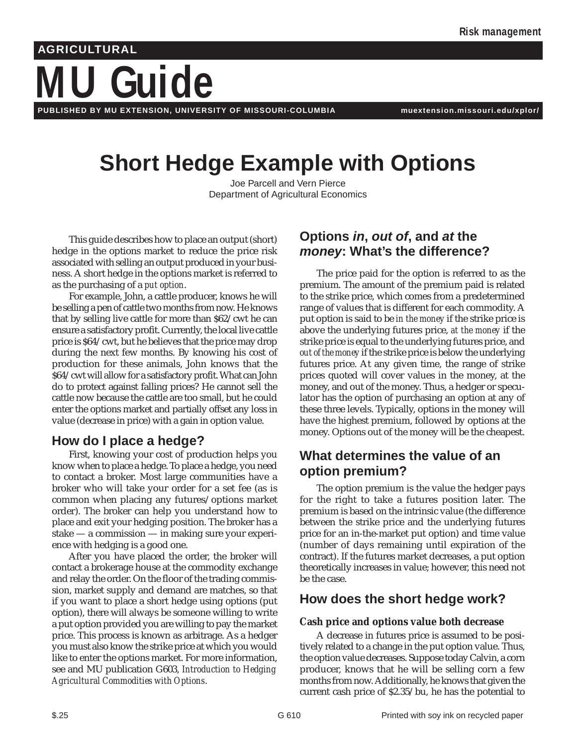#### **AGRICULTURAL**

# **MU Guide**

**PUBLISHED BY MU EXTENSION, UNIVERSITY OF MISSOURI-COLUMBIA muextension.missouri.edu/xplor/**

# **Short Hedge Example with Options**

Joe Parcell and Vern Pierce Department of Agricultural Economics

This guide describes how to place an output (short) hedge in the options market to reduce the price risk associated with selling an output produced in your business. A short hedge in the options market is referred to as the purchasing of a *put option*.

For example, John, a cattle producer, knows he will be selling a pen of cattle two months from now. He knows that by selling live cattle for more than \$62/cwt he can ensure a satisfactory profit. Currently, the local live cattle price is \$64/cwt, but he believes that the price may drop during the next few months. By knowing his cost of production for these animals, John knows that the \$64/cwt will allow for a satisfactory profit. What can John do to protect against falling prices? He cannot sell the cattle now because the cattle are too small, but he could enter the options market and partially offset any loss in value (decrease in price) with a gain in option value.

# **How do I place a hedge?**

First, knowing your cost of production helps you know when to place a hedge. To place a hedge, you need to contact a broker. Most large communities have a broker who will take your order for a set fee (as is common when placing any futures/options market order). The broker can help you understand how to place and exit your hedging position. The broker has a stake — a commission — in making sure your experience with hedging is a good one.

After you have placed the order, the broker will contact a brokerage house at the commodity exchange and relay the order. On the floor of the trading commission, market supply and demand are matches, so that if you want to place a short hedge using options (put option), there will always be someone willing to write a put option provided you are willing to pay the market price. This process is known as arbitrage. As a hedger you must also know the strike price at which you would like to enter the options market. For more information, see and MU publication G603, *Introduction to Hedging Agricultural Commodities with Options*.

# **Options in, out of, and at the money: What's the difference?**

The price paid for the option is referred to as the premium. The amount of the premium paid is related to the strike price, which comes from a predetermined range of values that is different for each commodity. A put option is said to be *in the money* if the strike price is above the underlying futures price, *at the money* if the strike price is equal to the underlying futures price, and *out of the money* if the strike price is below the underlying futures price. At any given time, the range of strike prices quoted will cover values in the money, at the money, and out of the money. Thus, a hedger or speculator has the option of purchasing an option at any of these three levels. Typically, options in the money will have the highest premium, followed by options at the money. Options out of the money will be the cheapest.

# **What determines the value of an option premium?**

The option premium is the value the hedger pays for the right to take a futures position later. The premium is based on the intrinsic value (the difference between the strike price and the underlying futures price for an in-the-market put option) and time value (number of days remaining until expiration of the contract). If the futures market decreases, a put option theoretically increases in value; however, this need not be the case.

### **How does the short hedge work?**

#### **Cash price and options value both decrease**

A decrease in futures price is assumed to be positively related to a change in the put option value. Thus, the option value decreases. Suppose today Calvin, a corn producer, knows that he will be selling corn a few months from now. Additionally, he knows that given the current cash price of \$2.35/bu, he has the potential to